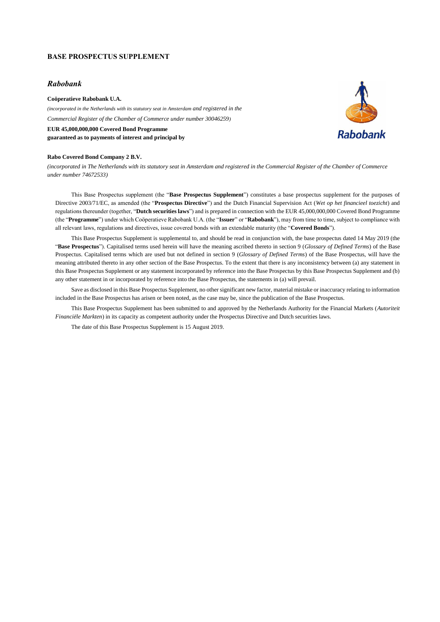### **BASE PROSPECTUS SUPPLEMENT**

### *Rabobank*

**Coöperatieve Rabobank U.A.**  *(incorporated in the Netherlands with its statutory seat in Amsterdam and registered in the Commercial Register of the Chamber of Commerce under number 30046259)* **EUR 45,000,000,000 Covered Bond Programme guaranteed as to payments of interest and principal by**

#### **Rabo Covered Bond Company 2 B.V.**

*(incorporated in The Netherlands with its statutory seat in Amsterdam and registered in the Commercial Register of the Chamber of Commerce under number 74672533)*

This Base Prospectus supplement (the "**Base Prospectus Supplement**") constitutes a base prospectus supplement for the purposes of Directive 2003/71/EC, as amended (the "**Prospectus Directive**") and the Dutch Financial Supervision Act (*Wet op het financieel toezicht*) and regulations thereunder (together, "**Dutch securities laws**") and is prepared in connection with the EUR 45,000,000,000 Covered Bond Programme (the "**Programme**") under which Coöperatieve Rabobank U.A. (the "**Issuer**" or "**Rabobank**"), may from time to time, subject to compliance with all relevant laws, regulations and directives, issue covered bonds with an extendable maturity (the "**Covered Bonds**").

This Base Prospectus Supplement is supplemental to, and should be read in conjunction with, the base prospectus dated 14 May 2019 (the "**Base Prospectus**"). Capitalised terms used herein will have the meaning ascribed thereto in section 9 (*Glossary of Defined Terms*) of the Base Prospectus. Capitalised terms which are used but not defined in section 9 (*Glossary of Defined Terms*) of the Base Prospectus, will have the meaning attributed thereto in any other section of the Base Prospectus. To the extent that there is any inconsistency between (a) any statement in this Base Prospectus Supplement or any statement incorporated by reference into the Base Prospectus by this Base Prospectus Supplement and (b) any other statement in or incorporated by reference into the Base Prospectus, the statements in (a) will prevail.

Save as disclosed in this Base Prospectus Supplement, no other significant new factor, material mistake or inaccuracy relating to information included in the Base Prospectus has arisen or been noted, as the case may be, since the publication of the Base Prospectus.

This Base Prospectus Supplement has been submitted to and approved by the Netherlands Authority for the Financial Markets (*Autoriteit Financiële Markten*) in its capacity as competent authority under the Prospectus Directive and Dutch securities laws.

The date of this Base Prospectus Supplement is 15 August 2019.

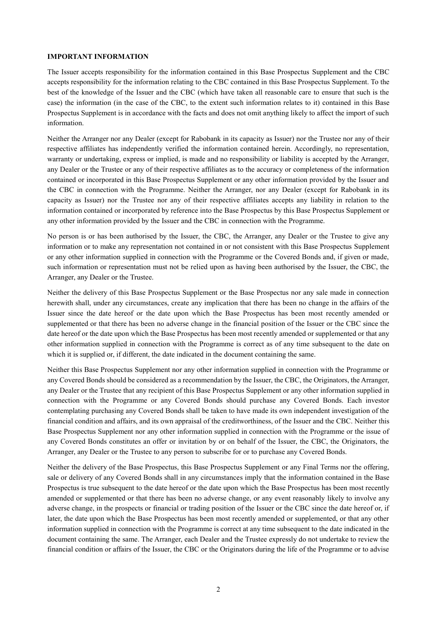# **IMPORTANT INFORMATION**

The Issuer accepts responsibility for the information contained in this Base Prospectus Supplement and the CBC accepts responsibility for the information relating to the CBC contained in this Base Prospectus Supplement. To the best of the knowledge of the Issuer and the CBC (which have taken all reasonable care to ensure that such is the case) the information (in the case of the CBC, to the extent such information relates to it) contained in this Base Prospectus Supplement is in accordance with the facts and does not omit anything likely to affect the import of such information.

Neither the Arranger nor any Dealer (except for Rabobank in its capacity as Issuer) nor the Trustee nor any of their respective affiliates has independently verified the information contained herein. Accordingly, no representation, warranty or undertaking, express or implied, is made and no responsibility or liability is accepted by the Arranger, any Dealer or the Trustee or any of their respective affiliates as to the accuracy or completeness of the information contained or incorporated in this Base Prospectus Supplement or any other information provided by the Issuer and the CBC in connection with the Programme. Neither the Arranger, nor any Dealer (except for Rabobank in its capacity as Issuer) nor the Trustee nor any of their respective affiliates accepts any liability in relation to the information contained or incorporated by reference into the Base Prospectus by this Base Prospectus Supplement or any other information provided by the Issuer and the CBC in connection with the Programme.

No person is or has been authorised by the Issuer, the CBC, the Arranger, any Dealer or the Trustee to give any information or to make any representation not contained in or not consistent with this Base Prospectus Supplement or any other information supplied in connection with the Programme or the Covered Bonds and, if given or made, such information or representation must not be relied upon as having been authorised by the Issuer, the CBC, the Arranger, any Dealer or the Trustee.

Neither the delivery of this Base Prospectus Supplement or the Base Prospectus nor any sale made in connection herewith shall, under any circumstances, create any implication that there has been no change in the affairs of the Issuer since the date hereof or the date upon which the Base Prospectus has been most recently amended or supplemented or that there has been no adverse change in the financial position of the Issuer or the CBC since the date hereof or the date upon which the Base Prospectus has been most recently amended or supplemented or that any other information supplied in connection with the Programme is correct as of any time subsequent to the date on which it is supplied or, if different, the date indicated in the document containing the same.

Neither this Base Prospectus Supplement nor any other information supplied in connection with the Programme or any Covered Bonds should be considered as a recommendation by the Issuer, the CBC, the Originators, the Arranger, any Dealer or the Trustee that any recipient of this Base Prospectus Supplement or any other information supplied in connection with the Programme or any Covered Bonds should purchase any Covered Bonds. Each investor contemplating purchasing any Covered Bonds shall be taken to have made its own independent investigation of the financial condition and affairs, and its own appraisal of the creditworthiness, of the Issuer and the CBC. Neither this Base Prospectus Supplement nor any other information supplied in connection with the Programme or the issue of any Covered Bonds constitutes an offer or invitation by or on behalf of the Issuer, the CBC, the Originators, the Arranger, any Dealer or the Trustee to any person to subscribe for or to purchase any Covered Bonds.

Neither the delivery of the Base Prospectus, this Base Prospectus Supplement or any Final Terms nor the offering, sale or delivery of any Covered Bonds shall in any circumstances imply that the information contained in the Base Prospectus is true subsequent to the date hereof or the date upon which the Base Prospectus has been most recently amended or supplemented or that there has been no adverse change, or any event reasonably likely to involve any adverse change, in the prospects or financial or trading position of the Issuer or the CBC since the date hereof or, if later, the date upon which the Base Prospectus has been most recently amended or supplemented, or that any other information supplied in connection with the Programme is correct at any time subsequent to the date indicated in the document containing the same. The Arranger, each Dealer and the Trustee expressly do not undertake to review the financial condition or affairs of the Issuer, the CBC or the Originators during the life of the Programme or to advise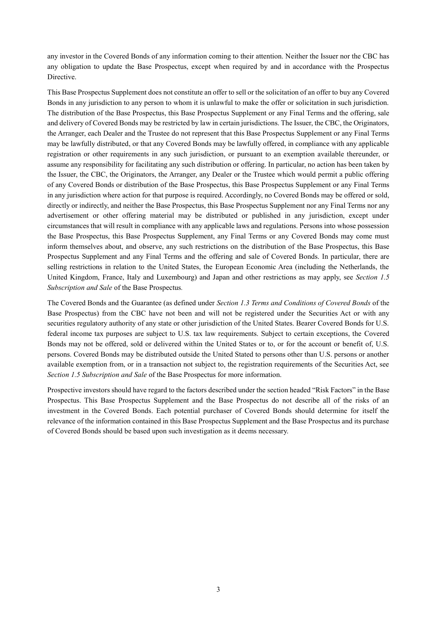any investor in the Covered Bonds of any information coming to their attention. Neither the Issuer nor the CBC has any obligation to update the Base Prospectus, except when required by and in accordance with the Prospectus Directive.

This Base Prospectus Supplement does not constitute an offer to sell or the solicitation of an offer to buy any Covered Bonds in any jurisdiction to any person to whom it is unlawful to make the offer or solicitation in such jurisdiction. The distribution of the Base Prospectus, this Base Prospectus Supplement or any Final Terms and the offering, sale and delivery of Covered Bonds may be restricted by law in certain jurisdictions. The Issuer, the CBC, the Originators, the Arranger, each Dealer and the Trustee do not represent that this Base Prospectus Supplement or any Final Terms may be lawfully distributed, or that any Covered Bonds may be lawfully offered, in compliance with any applicable registration or other requirements in any such jurisdiction, or pursuant to an exemption available thereunder, or assume any responsibility for facilitating any such distribution or offering. In particular, no action has been taken by the Issuer, the CBC, the Originators, the Arranger, any Dealer or the Trustee which would permit a public offering of any Covered Bonds or distribution of the Base Prospectus, this Base Prospectus Supplement or any Final Terms in any jurisdiction where action for that purpose is required. Accordingly, no Covered Bonds may be offered or sold, directly or indirectly, and neither the Base Prospectus, this Base Prospectus Supplement nor any Final Terms nor any advertisement or other offering material may be distributed or published in any jurisdiction, except under circumstances that will result in compliance with any applicable laws and regulations. Persons into whose possession the Base Prospectus, this Base Prospectus Supplement, any Final Terms or any Covered Bonds may come must inform themselves about, and observe, any such restrictions on the distribution of the Base Prospectus, this Base Prospectus Supplement and any Final Terms and the offering and sale of Covered Bonds. In particular, there are selling restrictions in relation to the United States, the European Economic Area (including the Netherlands, the United Kingdom, France, Italy and Luxembourg) and Japan and other restrictions as may apply, see *Section 1.5 Subscription and Sale* of the Base Prospectus*.*

The Covered Bonds and the Guarantee (as defined under *Section 1.3 Terms and Conditions of Covered Bonds* of the Base Prospectus) from the CBC have not been and will not be registered under the Securities Act or with any securities regulatory authority of any state or other jurisdiction of the United States. Bearer Covered Bonds for U.S. federal income tax purposes are subject to U.S. tax law requirements. Subject to certain exceptions, the Covered Bonds may not be offered, sold or delivered within the United States or to, or for the account or benefit of, U.S. persons. Covered Bonds may be distributed outside the United Stated to persons other than U.S. persons or another available exemption from, or in a transaction not subject to, the registration requirements of the Securities Act, see *Section 1.5 Subscription and Sale* of the Base Prospectus for more information.

Prospective investors should have regard to the factors described under the section headed "Risk Factors" in the Base Prospectus. This Base Prospectus Supplement and the Base Prospectus do not describe all of the risks of an investment in the Covered Bonds. Each potential purchaser of Covered Bonds should determine for itself the relevance of the information contained in this Base Prospectus Supplement and the Base Prospectus and its purchase of Covered Bonds should be based upon such investigation as it deems necessary.